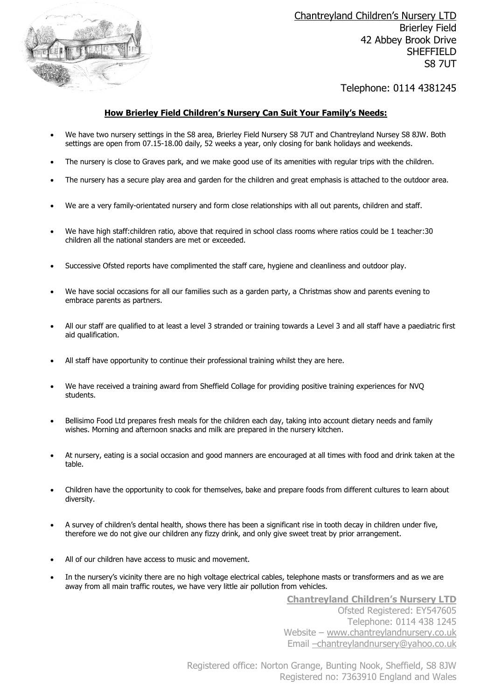

Chantreyland Children's Nursery LTD Brierley Field 42 Abbey Brook Drive SHEFFIELD S8 7UT

# Telephone: 0114 4381245

## **How Brierley Field Children's Nursery Can Suit Your Family's Needs:**

- We have two nursery settings in the S8 area, Brierley Field Nursery S8 7UT and Chantreyland Nursey S8 8JW. Both settings are open from 07.15-18.00 daily, 52 weeks a year, only closing for bank holidays and weekends.
- The nursery is close to Graves park, and we make good use of its amenities with regular trips with the children.
- The nursery has a secure play area and garden for the children and great emphasis is attached to the outdoor area.
- We are a very family-orientated nursery and form close relationships with all out parents, children and staff.
- We have high staff:children ratio, above that required in school class rooms where ratios could be 1 teacher:30 children all the national standers are met or exceeded.
- Successive Ofsted reports have complimented the staff care, hygiene and cleanliness and outdoor play.
- We have social occasions for all our families such as a garden party, a Christmas show and parents evening to embrace parents as partners.
- All our staff are qualified to at least a level 3 stranded or training towards a Level 3 and all staff have a paediatric first aid qualification.
- All staff have opportunity to continue their professional training whilst they are here.
- We have received a training award from Sheffield Collage for providing positive training experiences for NVQ students.
- Bellisimo Food Ltd prepares fresh meals for the children each day, taking into account dietary needs and family wishes. Morning and afternoon snacks and milk are prepared in the nursery kitchen.
- At nursery, eating is a social occasion and good manners are encouraged at all times with food and drink taken at the table.
- Children have the opportunity to cook for themselves, bake and prepare foods from different cultures to learn about diversity.
- A survey of children's dental health, shows there has been a significant rise in tooth decay in children under five, therefore we do not give our children any fizzy drink, and only give sweet treat by prior arrangement.
- All of our children have access to music and movement.
- In the nursery's vicinity there are no high voltage electrical cables, telephone masts or transformers and as we are away from all main traffic routes, we have very little air pollution from vehicles.

**Chantreyland Children's Nursery LTD** Ofsted Registered: EY547605 Telephone: 0114 438 1245 Website – [www.chantreylandnursery.co.uk](http://www.chantreylandnursery.co.uk/) Email –[chantreylandnursery@yahoo.co.uk](mailto:–chantreylandnursery@yahoo.co.uk)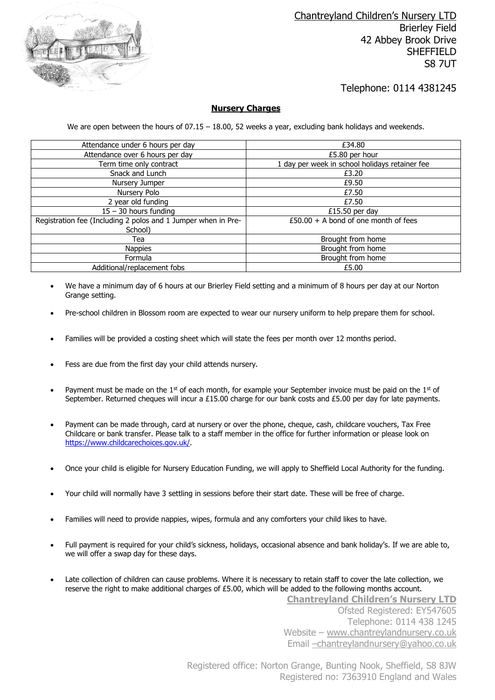

# Telephone: 0114 4381245

## **Nursery Charges**

We are open between the hours of  $07.15 - 18.00$ , 52 weeks a year, excluding bank holidays and weekends.

| Attendance under 6 hours per day                              | £34.80                                         |  |
|---------------------------------------------------------------|------------------------------------------------|--|
| Attendance over 6 hours per day                               | £5.80 per hour                                 |  |
| Term time only contract                                       | 1 day per week in school holidays retainer fee |  |
| Snack and Lunch                                               | £3.20                                          |  |
| Nursery Jumper                                                | £9.50                                          |  |
| Nursery Polo                                                  | £7.50                                          |  |
| 2 year old funding                                            | £7.50                                          |  |
| $15 - 30$ hours funding                                       | £15.50 per day                                 |  |
| Registration fee (Including 2 polos and 1 Jumper when in Pre- | $£50.00 + A$ bond of one month of fees         |  |
| School)                                                       |                                                |  |
| Tea                                                           | Brought from home                              |  |
| <b>Nappies</b>                                                | Brought from home                              |  |
| Formula                                                       | Brought from home                              |  |
| Additional/replacement fobs                                   | £5.00                                          |  |

- We have a minimum day of 6 hours at our Brierley Field setting and a minimum of 8 hours per day at our Norton Grange setting.
- Pre-school children in Blossom room are expected to wear our nursery uniform to help prepare them for school.
- Families will be provided a costing sheet which will state the fees per month over 12 months period.
- Fess are due from the first day your child attends nursery.
- Payment must be made on the  $1<sup>st</sup>$  of each month, for example your September invoice must be paid on the  $1<sup>st</sup>$  of September. Returned cheques will incur a £15.00 charge for our bank costs and £5.00 per day for late payments.
- Payment can be made through, card at nursery or over the phone, cheque, cash, childcare vouchers, Tax Free Childcare or bank transfer. Please talk to a staff member in the office for further information or please look on [https://www.childcarechoices.gov.uk/.](https://www.childcarechoices.gov.uk/)
- Once your child is eligible for Nursery Education Funding, we will apply to Sheffield Local Authority for the funding.
- Your child will normally have 3 settling in sessions before their start date. These will be free of charge.
- Families will need to provide nappies, wipes, formula and any comforters your child likes to have.
- Full payment is required for your child's sickness, holidays, occasional absence and bank holiday's. If we are able to, we will offer a swap day for these days.
- Late collection of children can cause problems. Where it is necessary to retain staff to cover the late collection, we reserve the right to make additional charges of £5.00, which will be added to the following months account.

**Chantreyland Children's Nursery LTD** Ofsted Registered: EY547605 Telephone: 0114 438 1245 Website – [www.chantreylandnursery.co.uk](http://www.chantreylandnursery.co.uk/) Email –[chantreylandnursery@yahoo.co.uk](mailto:–chantreylandnursery@yahoo.co.uk)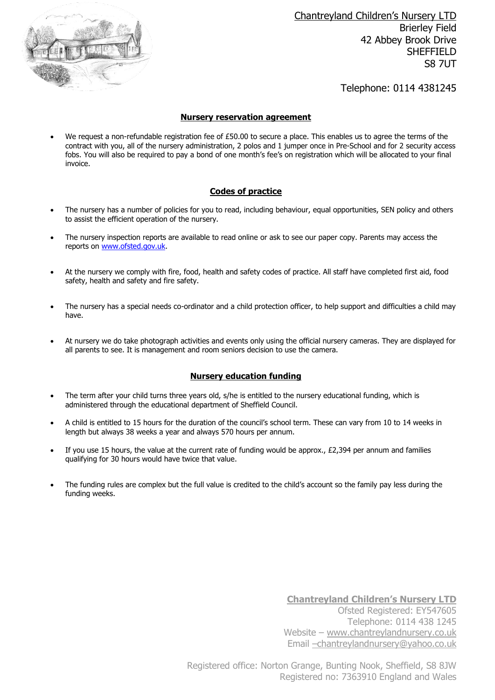

Chantreyland Children's Nursery LTD Brierley Field 42 Abbey Brook Drive SHEFFIELD S8 7UT

Telephone: 0114 4381245

#### **Nursery reservation agreement**

• We request a non-refundable registration fee of £50.00 to secure a place. This enables us to agree the terms of the contract with you, all of the nursery administration, 2 polos and 1 jumper once in Pre-School and for 2 security access fobs. You will also be required to pay a bond of one month's fee's on registration which will be allocated to your final invoice.

## **Codes of practice**

- The nursery has a number of policies for you to read, including behaviour, equal opportunities, SEN policy and others to assist the efficient operation of the nursery.
- The nursery inspection reports are available to read online or ask to see our paper copy. Parents may access the reports on [www.ofsted.gov.uk.](http://www.ofsted.gov.uk/)
- At the nursery we comply with fire, food, health and safety codes of practice. All staff have completed first aid, food safety, health and safety and fire safety.
- The nursery has a special needs co-ordinator and a child protection officer, to help support and difficulties a child may have.
- At nursery we do take photograph activities and events only using the official nursery cameras. They are displayed for all parents to see. It is management and room seniors decision to use the camera.

## **Nursery education funding**

- The term after your child turns three years old, s/he is entitled to the nursery educational funding, which is administered through the educational department of Sheffield Council.
- A child is entitled to 15 hours for the duration of the council's school term. These can vary from 10 to 14 weeks in length but always 38 weeks a year and always 570 hours per annum.
- If you use 15 hours, the value at the current rate of funding would be approx., £2,394 per annum and families qualifying for 30 hours would have twice that value.
- The funding rules are complex but the full value is credited to the child's account so the family pay less during the funding weeks.

**Chantreyland Children's Nursery LTD** Ofsted Registered: EY547605 Telephone: 0114 438 1245 Website – [www.chantreylandnursery.co.uk](http://www.chantreylandnursery.co.uk/) Email –[chantreylandnursery@yahoo.co.uk](mailto:–chantreylandnursery@yahoo.co.uk)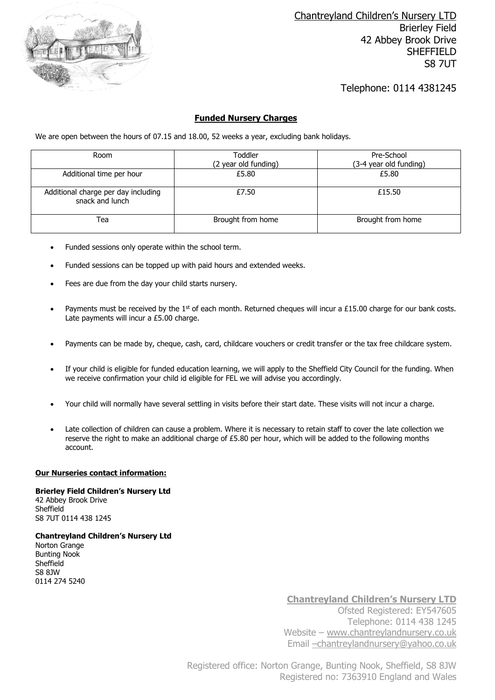

# Telephone: 0114 4381245

### **Funded Nursery Charges**

We are open between the hours of 07.15 and 18.00, 52 weeks a year, excluding bank holidays.

| Room                                                   | Toddler              | Pre-School             |
|--------------------------------------------------------|----------------------|------------------------|
|                                                        | (2 year old funding) | (3-4 year old funding) |
| Additional time per hour                               | £5.80                | £5.80                  |
| Additional charge per day including<br>snack and lunch | £7.50                | £15.50                 |
| Tea                                                    | Brought from home    | Brought from home      |

- Funded sessions only operate within the school term.
- Funded sessions can be topped up with paid hours and extended weeks.
- Fees are due from the day your child starts nursery.
- Payments must be received by the  $1<sup>st</sup>$  of each month. Returned cheques will incur a £15.00 charge for our bank costs. Late payments will incur a £5.00 charge.
- Payments can be made by, cheque, cash, card, childcare vouchers or credit transfer or the tax free childcare system.
- If your child is eligible for funded education learning, we will apply to the Sheffield City Council for the funding. When we receive confirmation your child id eligible for FEL we will advise you accordingly.
- Your child will normally have several settling in visits before their start date. These visits will not incur a charge.
- Late collection of children can cause a problem. Where it is necessary to retain staff to cover the late collection we reserve the right to make an additional charge of £5.80 per hour, which will be added to the following months account.

### **Our Nurseries contact information:**

**Brierley Field Children's Nursery Ltd** 42 Abbey Brook Drive Sheffield S8 7UT 0114 438 1245

**Chantreyland Children's Nursery Ltd** Norton Grange Bunting Nook **Sheffield** S8 8JW 0114 274 5240

> **Chantreyland Children's Nursery LTD** Ofsted Registered: EY547605 Telephone: 0114 438 1245 Website – [www.chantreylandnursery.co.uk](http://www.chantreylandnursery.co.uk/) Email –[chantreylandnursery@yahoo.co.uk](mailto:–chantreylandnursery@yahoo.co.uk)